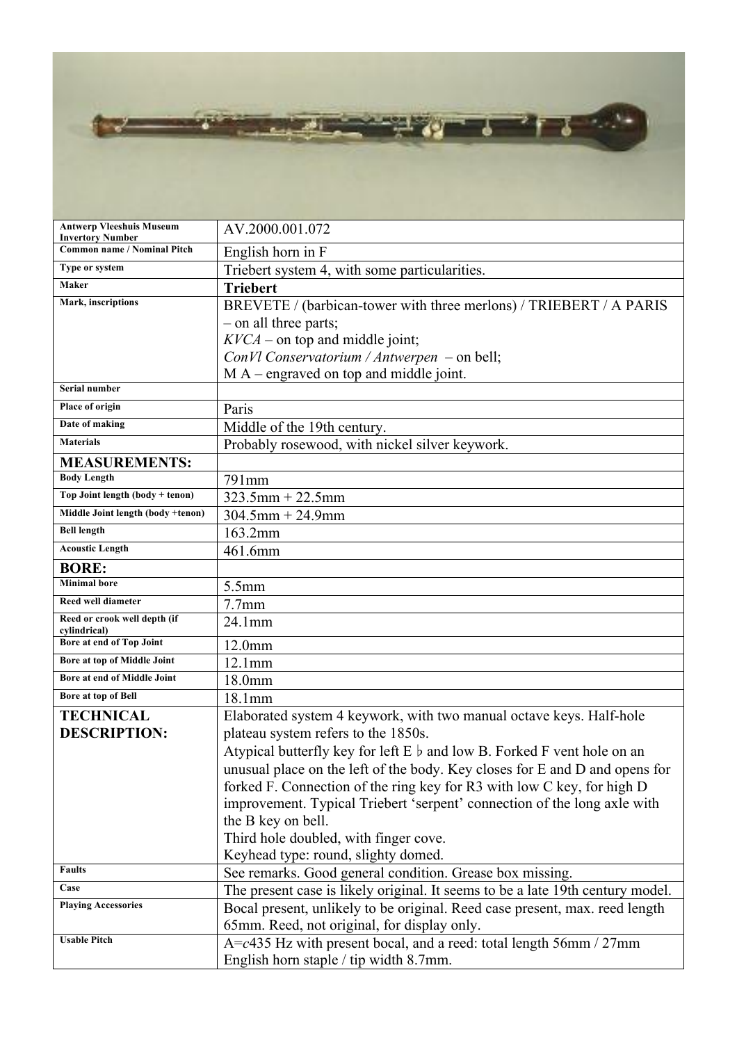73 - 21 έF, - ? . 79 - 2 ağ i  $\sim$ 

| <b>Antwerp Vleeshuis Museum</b><br><b>Invertory Number</b> | AV.2000.001.072                                                                  |
|------------------------------------------------------------|----------------------------------------------------------------------------------|
| Common name / Nominal Pitch                                | English horn in F                                                                |
| Type or system                                             | Triebert system 4, with some particularities.                                    |
| <b>Maker</b>                                               | <b>Triebert</b>                                                                  |
| Mark, inscriptions                                         | BREVETE / (barbican-tower with three merlons) / TRIEBERT / A PARIS               |
|                                                            | - on all three parts;                                                            |
|                                                            | $KVCA$ – on top and middle joint;                                                |
|                                                            | ConVl Conservatorium / Antwerpen - on bell;                                      |
|                                                            | $MA$ – engraved on top and middle joint.                                         |
| Serial number                                              |                                                                                  |
| Place of origin                                            | Paris                                                                            |
| Date of making                                             | Middle of the 19th century.                                                      |
| <b>Materials</b>                                           | Probably rosewood, with nickel silver keywork.                                   |
| <b>MEASUREMENTS:</b>                                       |                                                                                  |
| <b>Body Length</b>                                         | 791mm                                                                            |
| Top Joint length (body + tenon)                            | $323.5$ mm + 22.5mm                                                              |
| Middle Joint length (body +tenon)                          | $304.5$ mm + 24.9mm                                                              |
| <b>Bell length</b>                                         | 163.2mm                                                                          |
| <b>Acoustic Length</b>                                     | 461.6mm                                                                          |
| <b>BORE:</b>                                               |                                                                                  |
| <b>Minimal</b> bore                                        | 5.5mm                                                                            |
| Reed well diameter                                         | 7.7 <sub>mm</sub>                                                                |
| Reed or crook well depth (if<br>cylindrical)               | 24.1mm                                                                           |
| Bore at end of Top Joint                                   | 12.0mm                                                                           |
| Bore at top of Middle Joint                                | 12.1mm                                                                           |
| Bore at end of Middle Joint                                | 18.0mm                                                                           |
| <b>Bore at top of Bell</b>                                 | 18.1mm                                                                           |
| <b>TECHNICAL</b>                                           | Elaborated system 4 keywork, with two manual octave keys. Half-hole              |
| <b>DESCRIPTION:</b>                                        | plateau system refers to the 1850s.                                              |
|                                                            | Atypical butterfly key for left $E \, \flat$ and low B. Forked F vent hole on an |
|                                                            | unusual place on the left of the body. Key closes for E and D and opens for      |
|                                                            | forked F. Connection of the ring key for R3 with low C key, for high D           |
|                                                            | improvement. Typical Triebert 'serpent' connection of the long axle with         |
|                                                            | the B key on bell.                                                               |
|                                                            | Third hole doubled, with finger cove.                                            |
|                                                            | Keyhead type: round, slighty domed.                                              |
| <b>Faults</b>                                              | See remarks. Good general condition. Grease box missing.                         |
| Case                                                       | The present case is likely original. It seems to be a late 19th century model.   |
| <b>Playing Accessories</b>                                 | Bocal present, unlikely to be original. Reed case present, max. reed length      |
| <b>Usable Pitch</b>                                        | 65mm. Reed, not original, for display only.                                      |
|                                                            | A=c435 Hz with present bocal, and a reed: total length 56mm / 27mm               |
|                                                            | English horn staple / tip width 8.7mm.                                           |